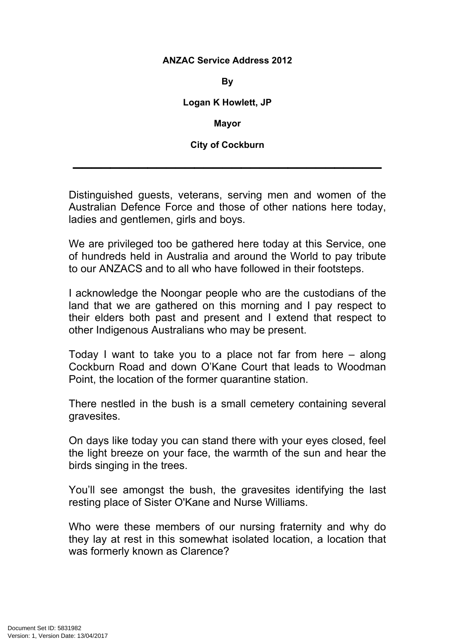## **ANZAC Service Address 2012**

**By**

**Logan K Howlett, JP**

**Mayor**

**City of Cockburn**

 $\mathcal{L}=\mathcal{L}^{\mathcal{L}}$  , where  $\mathcal{L}^{\mathcal{L}}$  ,  $\mathcal{L}^{\mathcal{L}}$  ,  $\mathcal{L}^{\mathcal{L}}$  ,  $\mathcal{L}^{\mathcal{L}}$  ,  $\mathcal{L}^{\mathcal{L}}$  ,  $\mathcal{L}^{\mathcal{L}}$  ,  $\mathcal{L}^{\mathcal{L}}$  ,  $\mathcal{L}^{\mathcal{L}}$  ,  $\mathcal{L}^{\mathcal{L}}$  ,  $\mathcal{L}^{\mathcal{L}}$  ,  $\mathcal{L}^{\mathcal$ 

Distinguished guests, veterans, serving men and women of the Australian Defence Force and those of other nations here today, ladies and gentlemen, girls and boys.

We are privileged too be gathered here today at this Service, one of hundreds held in Australia and around the World to pay tribute to our ANZACS and to all who have followed in their footsteps.

I acknowledge the Noongar people who are the custodians of the land that we are gathered on this morning and I pay respect to their elders both past and present and I extend that respect to other Indigenous Australians who may be present.

Today I want to take you to a place not far from here – along Cockburn Road and down O'Kane Court that leads to Woodman Point, the location of the former quarantine station.

There nestled in the bush is a small cemetery containing several gravesites.

On days like today you can stand there with your eyes closed, feel the light breeze on your face, the warmth of the sun and hear the birds singing in the trees.

You'll see amongst the bush, the gravesites identifying the last resting place of Sister O'Kane and Nurse Williams.

Who were these members of our nursing fraternity and why do they lay at rest in this somewhat isolated location, a location that was formerly known as Clarence?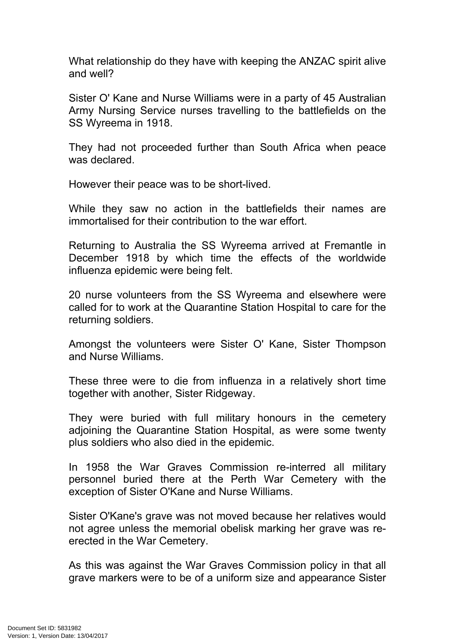What relationship do they have with keeping the ANZAC spirit alive and well?

Sister O' Kane and Nurse Williams were in a party of 45 Australian Army Nursing Service nurses travelling to the battlefields on the SS Wyreema in 1918.

They had not proceeded further than South Africa when peace was declared.

However their peace was to be short-lived.

While they saw no action in the battlefields their names are immortalised for their contribution to the war effort.

Returning to Australia the SS Wyreema arrived at Fremantle in December 1918 by which time the effects of the worldwide influenza epidemic were being felt.

20 nurse volunteers from the SS Wyreema and elsewhere were called for to work at the Quarantine Station Hospital to care for the returning soldiers.

Amongst the volunteers were Sister O' Kane, Sister Thompson and Nurse Williams.

These three were to die from influenza in a relatively short time together with another, Sister Ridgeway.

They were buried with full military honours in the cemetery adjoining the Quarantine Station Hospital, as were some twenty plus soldiers who also died in the epidemic.

In 1958 the War Graves Commission re-interred all military personnel buried there at the Perth War Cemetery with the exception of Sister O'Kane and Nurse Williams.

Sister O'Kane's grave was not moved because her relatives would not agree unless the memorial obelisk marking her grave was reerected in the War Cemetery.

As this was against the War Graves Commission policy in that all grave markers were to be of a uniform size and appearance Sister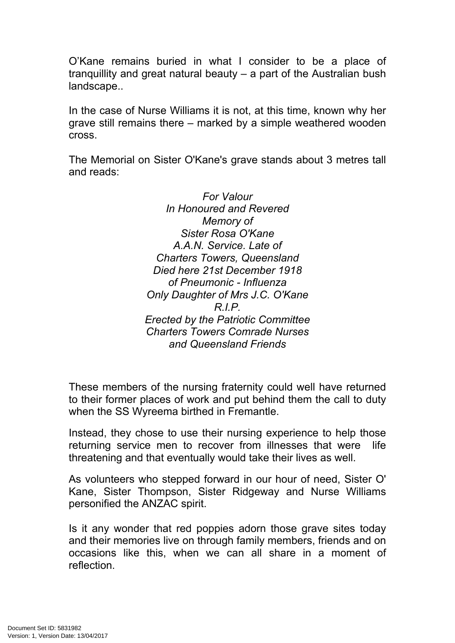O'Kane remains buried in what I consider to be a place of tranquillity and great natural beauty – a part of the Australian bush landscape..

In the case of Nurse Williams it is not, at this time, known why her grave still remains there – marked by a simple weathered wooden cross.

The Memorial on Sister O'Kane's grave stands about 3 metres tall and reads:

> *For Valour In Honoured and Revered Memory of Sister Rosa O'Kane A.A.N. Service. Late of Charters Towers, Queensland Died here 21st December 1918 of Pneumonic - Influenza Only Daughter of Mrs J.C. O'Kane R.I.P. Erected by the Patriotic Committee Charters Towers Comrade Nurses and Queensland Friends*

These members of the nursing fraternity could well have returned to their former places of work and put behind them the call to duty when the SS Wyreema birthed in Fremantle.

Instead, they chose to use their nursing experience to help those returning service men to recover from illnesses that were life threatening and that eventually would take their lives as well.

As volunteers who stepped forward in our hour of need, Sister O' Kane, Sister Thompson, Sister Ridgeway and Nurse Williams personified the ANZAC spirit.

Is it any wonder that red poppies adorn those grave sites today and their memories live on through family members, friends and on occasions like this, when we can all share in a moment of reflection.